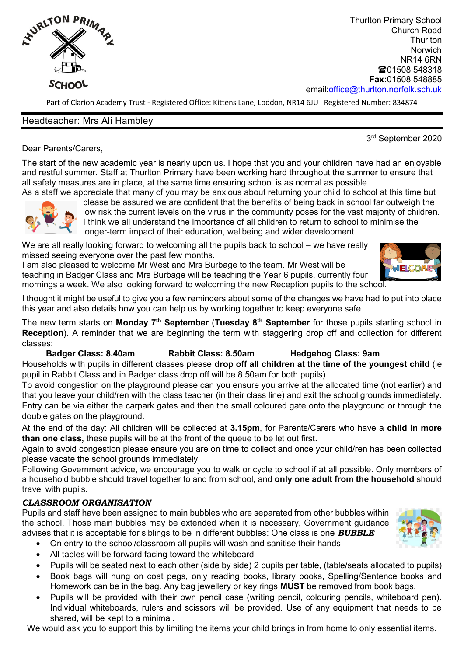

Thurlton Primary School Church Road **Thurlton Norwich** NR14 6RN ■01508 548318 **Fax:**01508 548885 email[:office@thurlton.norfolk.sch.uk](mailto:office@thurlton.norfolk.sch.uk)

Part of Clarion Academy Trust - Registered Office: Kittens Lane, Loddon, NR14 6JU Registered Number: 834874

## Headteacher: Mrs Ali Hambley

3 rd September 2020

Dear Parents/Carers,

The start of the new academic year is nearly upon us. I hope that you and your children have had an enjoyable and restful summer. Staff at Thurlton Primary have been working hard throughout the summer to ensure that all safety measures are in place, at the same time ensuring school is as normal as possible. As a staff we appreciate that many of you may be anxious about returning your child to school at this time but



please be assured we are confident that the benefits of being back in school far outweigh the low risk the current levels on the virus in the community poses for the vast majority of children. I think we all understand the importance of all children to return to school to minimise the longer-term impact of their education, wellbeing and wider development.

We are all really looking forward to welcoming all the pupils back to school – we have really missed seeing everyone over the past few months.

I am also pleased to welcome Mr West and Mrs Burbage to the team. Mr West will be teaching in Badger Class and Mrs Burbage will be teaching the Year 6 pupils, currently four mornings a week. We also looking forward to welcoming the new Reception pupils to the school.

I thought it might be useful to give you a few reminders about some of the changes we have had to put into place this year and also details how you can help us by working together to keep everyone safe.

The new term starts on **Monday 7th September** (**Tuesday 8th September** for those pupils starting school in **Reception**). A reminder that we are beginning the term with staggering drop off and collection for different classes:

### **Badger Class: 8.40am Rabbit Class: 8.50am Hedgehog Class: 9am**

Households with pupils in different classes please **drop off all children at the time of the youngest child** (ie pupil in Rabbit Class and in Badger class drop off will be 8.50am for both pupils).

To avoid congestion on the playground please can you ensure you arrive at the allocated time (not earlier) and that you leave your child/ren with the class teacher (in their class line) and exit the school grounds immediately. Entry can be via either the carpark gates and then the small coloured gate onto the playground or through the double gates on the playground.

At the end of the day: All children will be collected at **3.15pm**, for Parents/Carers who have a **child in more than one class,** these pupils will be at the front of the queue to be let out first**.** 

Again to avoid congestion please ensure you are on time to collect and once your child/ren has been collected please vacate the school grounds immediately.

Following Government advice, we encourage you to walk or cycle to school if at all possible. Only members of a household bubble should travel together to and from school, and **only one adult from the household** should travel with pupils.

# *CLASSROOM ORGANISATION*

Pupils and staff have been assigned to main bubbles who are separated from other bubbles within the school. Those main bubbles may be extended when it is necessary, Government guidance advises that it is acceptable for siblings to be in different bubbles: One class is one *BUBBLE*

- On entry to the school/classroom all pupils will wash and sanitise their hands
- All tables will be forward facing toward the whiteboard
- Pupils will be seated next to each other (side by side) 2 pupils per table, (table/seats allocated to pupils)
- Book bags will hung on coat pegs, only reading books, library books, Spelling/Sentence books and Homework can be in the bag. Any bag jewellery or key rings **MUST** be removed from book bags.
- Pupils will be provided with their own pencil case (writing pencil, colouring pencils, whiteboard pen). Individual whiteboards, rulers and scissors will be provided. Use of any equipment that needs to be shared, will be kept to a minimal.

We would ask you to support this by limiting the items your child brings in from home to only essential items.



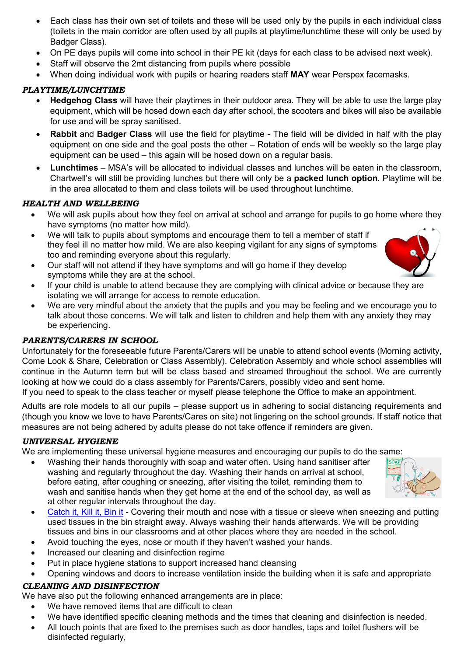- Each class has their own set of toilets and these will be used only by the pupils in each individual class (toilets in the main corridor are often used by all pupils at playtime/lunchtime these will only be used by Badger Class).
- On PE days pupils will come into school in their PE kit (days for each class to be advised next week).
- Staff will observe the 2mt distancing from pupils where possible
- When doing individual work with pupils or hearing readers staff **MAY** wear Perspex facemasks.

# *PLAYTIME/LUNCHTIME*

- **Hedgehog Class** will have their playtimes in their outdoor area. They will be able to use the large play equipment, which will be hosed down each day after school, the scooters and bikes will also be available for use and will be spray sanitised.
- **Rabbit** and **Badger Class** will use the field for playtime The field will be divided in half with the play equipment on one side and the goal posts the other – Rotation of ends will be weekly so the large play equipment can be used – this again will be hosed down on a regular basis.
- **Lunchtimes** MSA's will be allocated to individual classes and lunches will be eaten in the classroom, Chartwell's will still be providing lunches but there will only be a **packed lunch option**. Playtime will be in the area allocated to them and class toilets will be used throughout lunchtime.

# *HEALTH AND WELLBEING*

- We will ask pupils about how they feel on arrival at school and arrange for pupils to go home where they have symptoms (no matter how mild).
- We will talk to pupils about symptoms and encourage them to tell a member of staff if they feel ill no matter how mild. We are also keeping vigilant for any signs of symptoms too and reminding everyone about this regularly.
- Our staff will not attend if they have symptoms and will go home if they develop symptoms while they are at the school.
- If your child is unable to attend because they are complying with clinical advice or because they are isolating we will arrange for access to remote education.
- We are very mindful about the anxiety that the pupils and you may be feeling and we encourage you to talk about those concerns. We will talk and listen to children and help them with any anxiety they may be experiencing.

# *PARENTS/CARERS IN SCHOOL*

Unfortunately for the foreseeable future Parents/Carers will be unable to attend school events (Morning activity, Come Look & Share, Celebration or Class Assembly). Celebration Assembly and whole school assemblies will continue in the Autumn term but will be class based and streamed throughout the school. We are currently looking at how we could do a class assembly for Parents/Carers, possibly video and sent home.

If you need to speak to the class teacher or myself please telephone the Office to make an appointment.

Adults are role models to all our pupils – please support us in adhering to social distancing requirements and (though you know we love to have Parents/Cares on site) not lingering on the school grounds. If staff notice that measures are not being adhered by adults please do not take offence if reminders are given.

### *UNIVERSAL HYGIENE*

We are implementing these universal hygiene measures and encouraging our pupils to do the same:

- Washing their hands thoroughly with soap and water often. Using hand sanitiser after washing and regularly throughout the day. Washing their hands on arrival at school, before eating, after coughing or sneezing, after visiting the toilet, reminding them to wash and sanitise hands when they get home at the end of the school day, as well as at other regular intervals throughout the day.
- [Catch it, Kill it, Bin it](https://www.youtube.com/watch?v=JtbMgDz3GdM) Covering their mouth and nose with a tissue or sleeve when sneezing and putting used tissues in the bin straight away. Always washing their hands afterwards. We will be providing tissues and bins in our classrooms and at other places where they are needed in the school.
- Avoid touching the eyes, nose or mouth if they haven't washed your hands.
- Increased our cleaning and disinfection regime
- Put in place hygiene stations to support increased hand cleansing
- Opening windows and doors to increase ventilation inside the building when it is safe and appropriate

### *CLEANING AND DISINFECTION*

We have also put the following enhanced arrangements are in place:

- We have removed items that are difficult to clean
- We have identified specific cleaning methods and the times that cleaning and disinfection is needed.
- All touch points that are fixed to the premises such as door handles, taps and toilet flushers will be disinfected regularly,



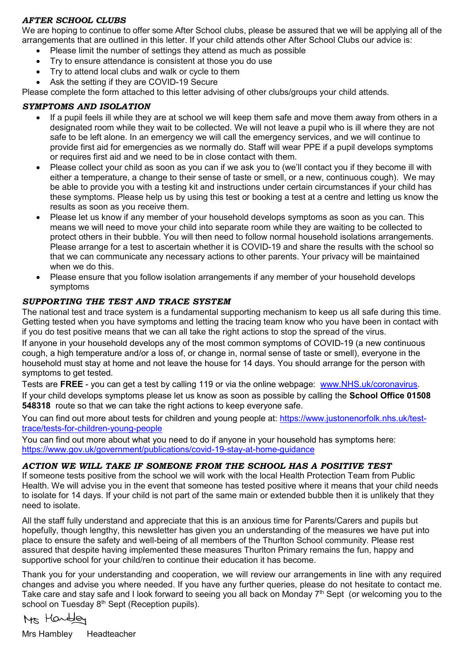### *AFTER SCHOOL CLUBS*

We are hoping to continue to offer some After School clubs, please be assured that we will be applying all of the arrangements that are outlined in this letter. If your child attends other After School Clubs our advice is:

- Please limit the number of settings they attend as much as possible
- Try to ensure attendance is consistent at those you do use
- Try to attend local clubs and walk or cycle to them
- Ask the setting if they are COVID-19 Secure

Please complete the form attached to this letter advising of other clubs/groups your child attends.

# *SYMPTOMS AND ISOLATION*

- If a pupil feels ill while they are at school we will keep them safe and move them away from others in a designated room while they wait to be collected. We will not leave a pupil who is ill where they are not safe to be left alone. In an emergency we will call the emergency services, and we will continue to provide first aid for emergencies as we normally do. Staff will wear PPE if a pupil develops symptoms or requires first aid and we need to be in close contact with them.
- Please collect your child as soon as you can if we ask you to (we'll contact you if they become ill with either a temperature, a change to their sense of taste or smell, or a new, continuous cough). We may be able to provide you with a testing kit and instructions under certain circumstances if your child has these symptoms. Please help us by using this test or booking a test at a centre and letting us know the results as soon as you receive them.
- Please let us know if any member of your household develops symptoms as soon as you can. This means we will need to move your child into separate room while they are waiting to be collected to protect others in their bubble. You will then need to follow normal household isolations arrangements. Please arrange for a test to ascertain whether it is COVID-19 and share the results with the school so that we can communicate any necessary actions to other parents. Your privacy will be maintained when we do this.
- Please ensure that you follow isolation arrangements if any member of your household develops symptoms

## *SUPPORTING THE TEST AND TRACE SYSTEM*

The national test and trace system is a fundamental supporting mechanism to keep us all safe during this time. Getting tested when you have symptoms and letting the tracing team know who you have been in contact with if you do test positive means that we can all take the right actions to stop the spread of the virus.

If anyone in your household develops any of the most common symptoms of COVID-19 (a new continuous cough, a high temperature and/or a loss of, or change in, normal sense of taste or smell), everyone in the household must stay at home and not leave the house for 14 days. You should arrange for the person with symptoms to get tested.

Tests are **FREE** - you can get a test by calling 119 or via the online webpage: [www.NHS.uk/coronavirus.](http://www.nhs.uk/coronavirus) If your child develops symptoms please let us know as soon as possible by calling the **School Office 01508 548318** route so that we can take the right actions to keep everyone safe.

You can find out more about tests for children and young people at: [https://www.justonenorfolk.nhs.uk/test](https://www.justonenorfolk.nhs.uk/test-trace/tests-for-children-young-people)[trace/tests-for-children-young-people](https://www.justonenorfolk.nhs.uk/test-trace/tests-for-children-young-people)

You can find out more about what you need to do if anyone in your household has symptoms here: <https://www.gov.uk/government/publications/covid-19-stay-at-home-guidance>

### *ACTION WE WILL TAKE IF SOMEONE FROM THE SCHOOL HAS A POSITIVE TEST*

If someone tests positive from the school we will work with the local Health Protection Team from Public Health. We will advise you in the event that someone has tested positive where it means that your child needs to isolate for 14 days. If your child is not part of the same main or extended bubble then it is unlikely that they need to isolate.

All the staff fully understand and appreciate that this is an anxious time for Parents/Carers and pupils but hopefully, though lengthy, this newsletter has given you an understanding of the measures we have put into place to ensure the safety and well-being of all members of the Thurlton School community. Please rest assured that despite having implemented these measures Thurlton Primary remains the fun, happy and supportive school for your child/ren to continue their education it has become.

Thank you for your understanding and cooperation, we will review our arrangements in line with any required changes and advise you where needed. If you have any further queries, please do not hesitate to contact me. Take care and stay safe and I look forward to seeing you all back on Monday 7<sup>th</sup> Sept (or welcoming you to the school on Tuesday 8<sup>th</sup> Sept (Reception pupils).

Ms Handley

Mrs Hambley Headteacher